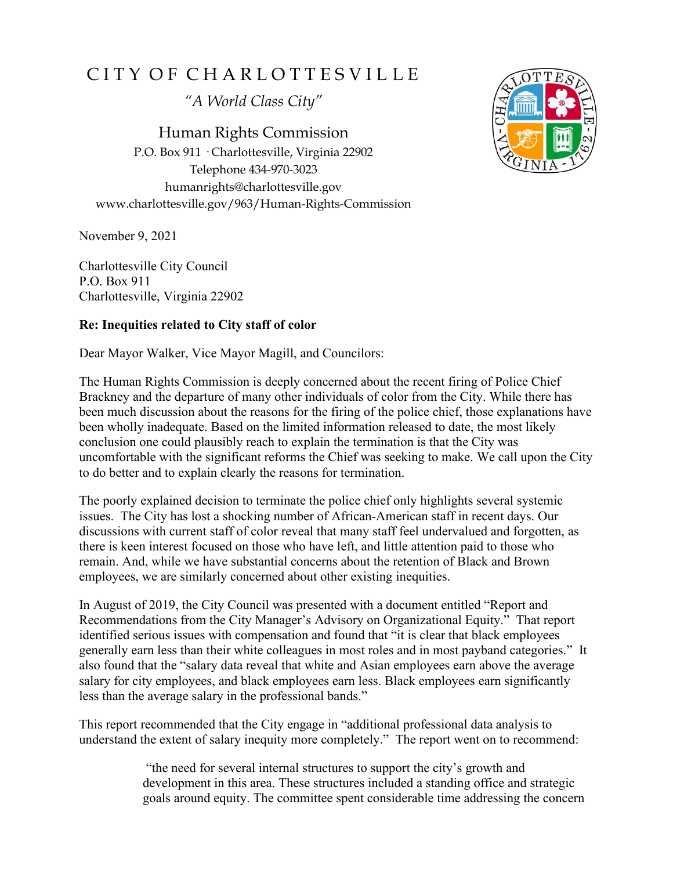## CITY OF CHARLOTTESVILLE

*"A World Class City"*

Human Rights Commission P.O. Box 911 · Charlottesville, Virginia 22902 Telephone 434-970-3023 humanrights@charlottesville.gov www.charlottesville.gov/963/Human-Rights-Commission

November 9, 2021

Charlottesville City Council P.O. Box 911 Charlottesville, Virginia 22902

## **Re: Inequities related to City staff of color**

Dear Mayor Walker, Vice Mayor Magill, and Councilors:

The Human Rights Commission is deeply concerned about the recent firing of Police Chief Brackney and the departure of many other individuals of color from the City. While there has been much discussion about the reasons for the firing of the police chief, those explanations have been wholly inadequate. Based on the limited information released to date, the most likely conclusion one could plausibly reach to explain the termination is that the City was uncomfortable with the significant reforms the Chief was seeking to make. We call upon the City to do better and to explain clearly the reasons for termination.

The poorly explained decision to terminate the police chief only highlights several systemic issues. The City has lost a shocking number of African-American staff in recent days. Our discussions with current staff of color reveal that many staff feel undervalued and forgotten, as there is keen interest focused on those who have left, and little attention paid to those who remain. And, while we have substantial concerns about the retention of Black and Brown employees, we are similarly concerned about other existing inequities.

In August of 2019, the City Council was presented with a document entitled "Report and Recommendations from the City Manager's Advisory on Organizational Equity." That report identified serious issues with compensation and found that "it is clear that black employees generally earn less than their white colleagues in most roles and in most payband categories." It also found that the "salary data reveal that white and Asian employees earn above the average salary for city employees, and black employees earn less. Black employees earn significantly less than the average salary in the professional bands."

This report recommended that the City engage in "additional professional data analysis to understand the extent of salary inequity more completely." The report went on to recommend:

> "the need for several internal structures to support the city's growth and development in this area. These structures included a standing office and strategic goals around equity. The committee spent considerable time addressing the concern

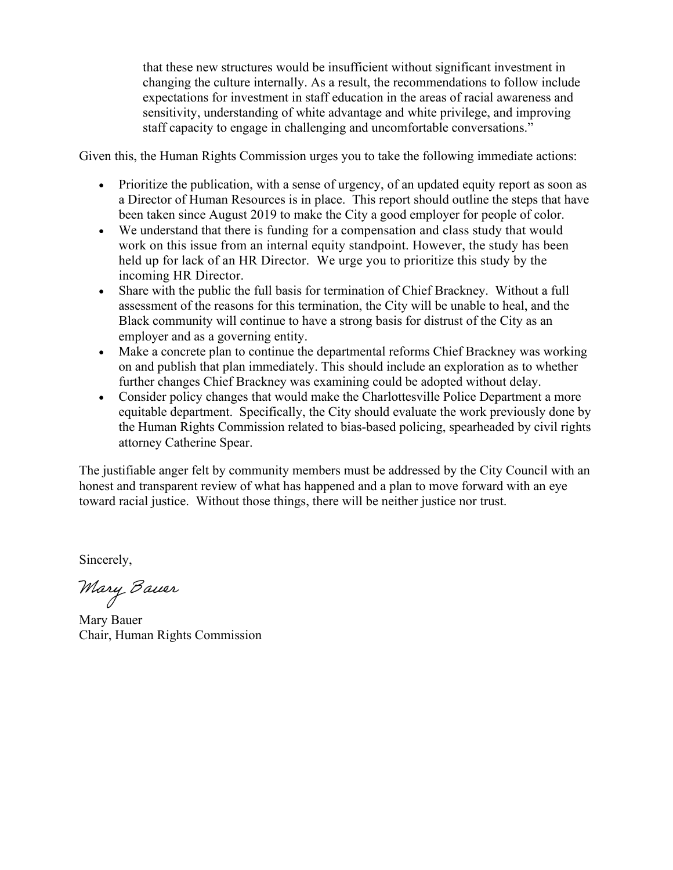that these new structures would be insufficient without significant investment in changing the culture internally. As a result, the recommendations to follow include expectations for investment in staff education in the areas of racial awareness and sensitivity, understanding of white advantage and white privilege, and improving staff capacity to engage in challenging and uncomfortable conversations."

Given this, the Human Rights Commission urges you to take the following immediate actions:

- Prioritize the publication, with a sense of urgency, of an updated equity report as soon as a Director of Human Resources is in place. This report should outline the steps that have been taken since August 2019 to make the City a good employer for people of color.
- We understand that there is funding for a compensation and class study that would work on this issue from an internal equity standpoint. However, the study has been held up for lack of an HR Director. We urge you to prioritize this study by the incoming HR Director.
- Share with the public the full basis for termination of Chief Brackney. Without a full assessment of the reasons for this termination, the City will be unable to heal, and the Black community will continue to have a strong basis for distrust of the City as an employer and as a governing entity.
- Make a concrete plan to continue the departmental reforms Chief Brackney was working on and publish that plan immediately. This should include an exploration as to whether further changes Chief Brackney was examining could be adopted without delay.
- Consider policy changes that would make the Charlottesville Police Department a more equitable department. Specifically, the City should evaluate the work previously done by the Human Rights Commission related to bias-based policing, spearheaded by civil rights attorney Catherine Spear.

The justifiable anger felt by community members must be addressed by the City Council with an honest and transparent review of what has happened and a plan to move forward with an eye toward racial justice. Without those things, there will be neither justice nor trust.

Sincerely,

Mary Bauer

Mary Bauer Chair, Human Rights Commission